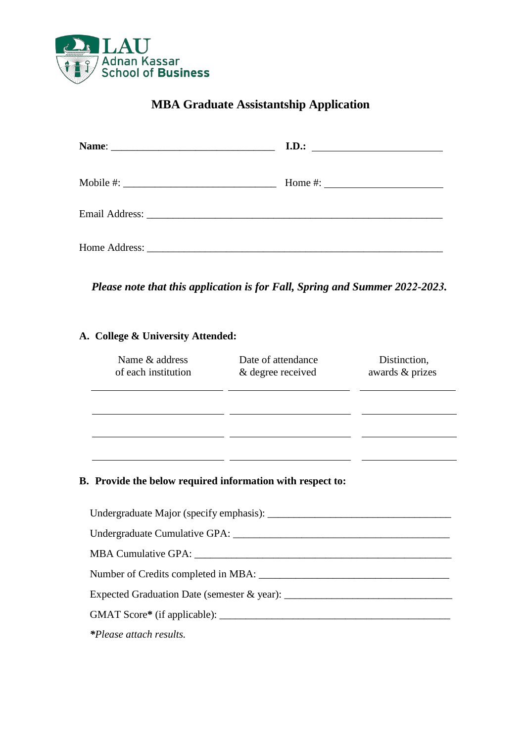

## **MBA Graduate Assistantship Application**

|                                   | I.D.<br><u> 1989 - Andrea Albert III, politik a postal de la provincia de la provincia de la provincia de la provincia d</u> |
|-----------------------------------|------------------------------------------------------------------------------------------------------------------------------|
|                                   |                                                                                                                              |
| Mobile #: $\frac{1}{2}$ Mobile #: | Home #: $\qquad \qquad$                                                                                                      |
|                                   |                                                                                                                              |
|                                   |                                                                                                                              |
| Home Address:                     |                                                                                                                              |
|                                   |                                                                                                                              |

*Please note that this application is for Fall, Spring and Summer 2022-2023.*

## **A. College & University Attended:**

| Name & address<br>of each institution                             | Date of attendance<br>& degree received | Distinction,<br>awards & prizes |
|-------------------------------------------------------------------|-----------------------------------------|---------------------------------|
|                                                                   |                                         |                                 |
|                                                                   |                                         |                                 |
|                                                                   |                                         |                                 |
| <b>B.</b> Provide the below required information with respect to: |                                         |                                 |
| Undergraduate Major (specify emphasis):                           |                                         |                                 |

| Number of Credits completed in MBA:         |
|---------------------------------------------|
| Expected Graduation Date (semester & year): |
| GMAT Score* (if applicable):                |
| <i>*Please attach results.</i>              |